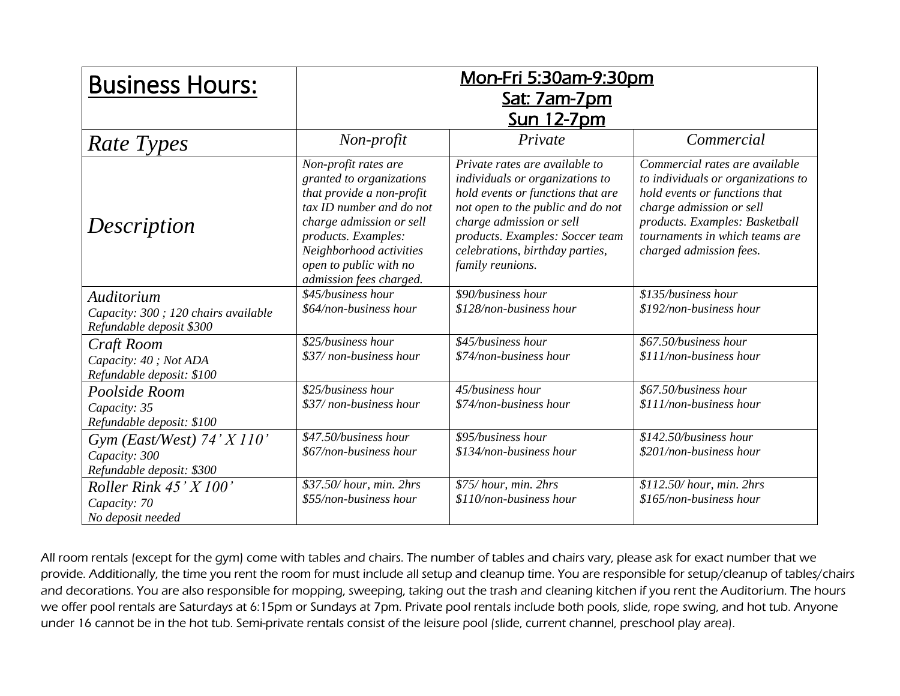| <b>Business Hours:</b>                                                         | <u>Mon-Fri 5:30am-9:30pm</u><br>Sat: 7am-7pm<br><u>Sun 12-7pm</u>                                                                                                                                                                            |                                                                                                                                                                                                                                                                   |                                                                                                                                                                                                                                  |  |
|--------------------------------------------------------------------------------|----------------------------------------------------------------------------------------------------------------------------------------------------------------------------------------------------------------------------------------------|-------------------------------------------------------------------------------------------------------------------------------------------------------------------------------------------------------------------------------------------------------------------|----------------------------------------------------------------------------------------------------------------------------------------------------------------------------------------------------------------------------------|--|
| <b>Rate Types</b>                                                              | Non-profit                                                                                                                                                                                                                                   | Private                                                                                                                                                                                                                                                           | Commercial                                                                                                                                                                                                                       |  |
| Description                                                                    | Non-profit rates are<br>granted to organizations<br>that provide a non-profit<br>tax ID number and do not<br>charge admission or sell<br>products. Examples:<br>Neighborhood activities<br>open to public with no<br>admission fees charged. | Private rates are available to<br>individuals or organizations to<br>hold events or functions that are<br>not open to the public and do not<br>charge admission or sell<br>products. Examples: Soccer team<br>celebrations, birthday parties,<br>family reunions. | Commercial rates are available<br>to individuals or organizations to<br>hold events or functions that<br>charge admission or sell<br>products. Examples: Basketball<br>tournaments in which teams are<br>charged admission fees. |  |
| Auditorium<br>Capacity: 300 ; 120 chairs available<br>Refundable deposit \$300 | \$45/business hour<br>\$64/non-business hour                                                                                                                                                                                                 | \$90/business hour<br>\$128/non-business hour                                                                                                                                                                                                                     | \$135/business hour<br>$$192$ /non-business hour                                                                                                                                                                                 |  |
| Craft Room<br>Capacity: 40; Not ADA<br>Refundable deposit: \$100               | \$25/business hour<br>\$37/non-business hour                                                                                                                                                                                                 | \$45/business hour<br>\$74/non-business hour                                                                                                                                                                                                                      | \$67.50/business hour<br>\$111/non-business hour                                                                                                                                                                                 |  |
| Poolside Room<br>Capacity: 35<br>Refundable deposit: \$100                     | \$25/business hour<br>\$37/non-business hour                                                                                                                                                                                                 | 45/business hour<br>\$74/non-business hour                                                                                                                                                                                                                        | \$67.50/business hour<br>$$111$ /non-business hour                                                                                                                                                                               |  |
| Gym (East/West) $74'$ X $110'$<br>Capacity: 300<br>Refundable deposit: \$300   | \$47.50/business hour<br>\$67/non-business hour                                                                                                                                                                                              | \$95/business hour<br>\$134/non-business hour                                                                                                                                                                                                                     | \$142.50/business hour<br>\$201/non-business hour                                                                                                                                                                                |  |
| Roller Rink $45'$ X $100'$<br>Capacity: 70<br>No deposit needed                | \$37.50/hour, min. 2hrs<br>\$55/non-business hour                                                                                                                                                                                            | \$75/hour, min. 2hrs<br>$$110$ /non-business hour                                                                                                                                                                                                                 | \$112.50/hour, min. 2hrs<br>\$165/non-business hour                                                                                                                                                                              |  |

All room rentals (except for the gym) come with tables and chairs. The number of tables and chairs vary, please ask for exact number that we provide. Additionally, the time you rent the room for must include all setup and cleanup time. You are responsible for setup/cleanup of tables/chairs and decorations. You are also responsible for mopping, sweeping, taking out the trash and cleaning kitchen if you rent the Auditorium. The hours we offer pool rentals are Saturdays at 6:15pm or Sundays at 7pm. Private pool rentals include both pools, slide, rope swing, and hot tub. Anyone under 16 cannot be in the hot tub. Semi-private rentals consist of the leisure pool (slide, current channel, preschool play area).